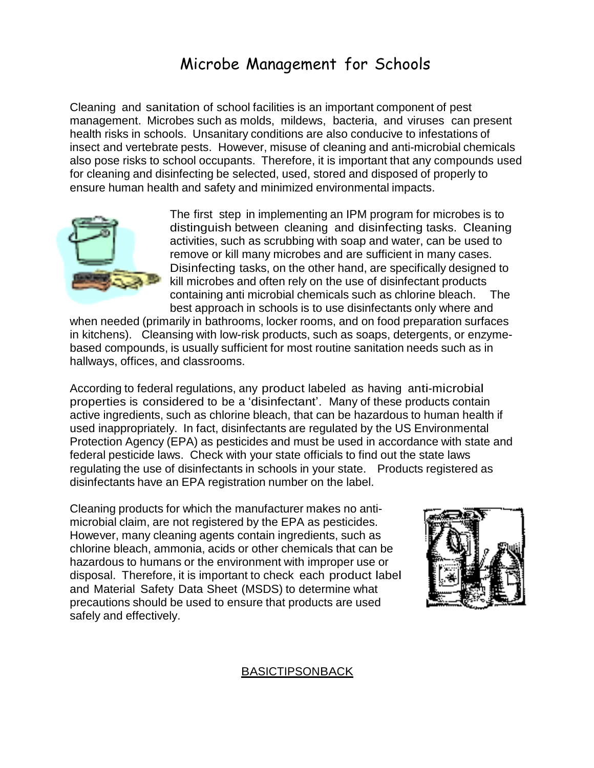## Microbe Management for Schools

Cleaning and sanitation of school facilities is an important component of pest management. Microbes such as molds, mildews, bacteria, and viruses can present health risks in schools. Unsanitary conditions are also conducive to infestations of insect and vertebrate pests. However, misuse of cleaning and anti-microbial chemicals also pose risks to school occupants. Therefore, it is important that any compounds used for cleaning and disinfecting be selected, used, stored and disposed of properly to ensure human health and safety and minimized environmental impacts.



The first step in implementing an IPM program for microbes is to distinguish between cleaning and disinfecting tasks. Cleaning activities, such as scrubbing with soap and water, can be used to remove or kill many microbes and are sufficient in many cases. Disinfecting tasks, on the other hand, are specifically designed to kill microbes and often rely on the use of disinfectant products containing anti microbial chemicals such as chlorine bleach. The best approach in schools is to use disinfectants only where and

when needed (primarily in bathrooms, locker rooms, and on food preparation surfaces in kitchens). Cleansing with low-risk products, such as soaps, detergents, or enzymebased compounds, is usually sufficient for most routine sanitation needs such as in hallways, offices, and classrooms.

According to federal regulations, any product labeled as having anti-microbial properties is considered to be a 'disinfectant'. Many of these products contain active ingredients, such as chlorine bleach, that can be hazardous to human health if used inappropriately. In fact, disinfectants are regulated by the US Environmental Protection Agency (EPA) as pesticides and must be used in accordance with state and federal pesticide laws. Check with your state officials to find out the state laws regulating the use of disinfectants in schools in your state. Products registered as disinfectants have an EPA registration number on the label.

Cleaning products for which the manufacturer makes no antimicrobial claim, are not registered by the EPA as pesticides. However, many cleaning agents contain ingredients, such as chlorine bleach, ammonia, acids or other chemicals that can be hazardous to humans or the environment with improper use or disposal. Therefore, it is important to check each product label and Material Safety Data Sheet (MSDS) to determine what precautions should be used to ensure that products are used safely and effectively.



## **BASICTIPSONBACK**